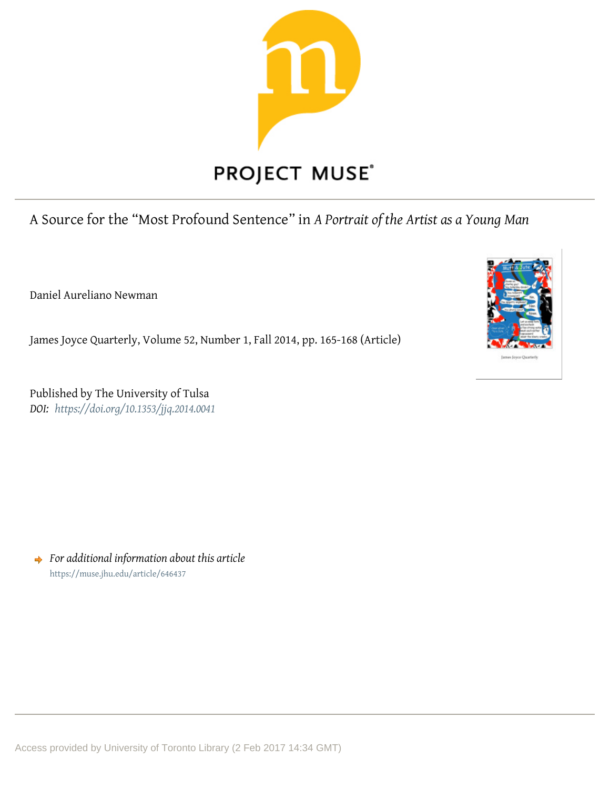

## A Source for the "Most Profound Sentence" in *A Portrait of the Artist as a Young Man*

Daniel Aureliano Newman

James Joyce Quarterly, Volume 52, Number 1, Fall 2014, pp. 165-168 (Article)

Published by The University of Tulsa *DOI: <https://doi.org/10.1353/jjq.2014.0041>*

*For additional information about this article* <https://muse.jhu.edu/article/646437>

Access provided by University of Toronto Library (2 Feb 2017 14:34 GMT)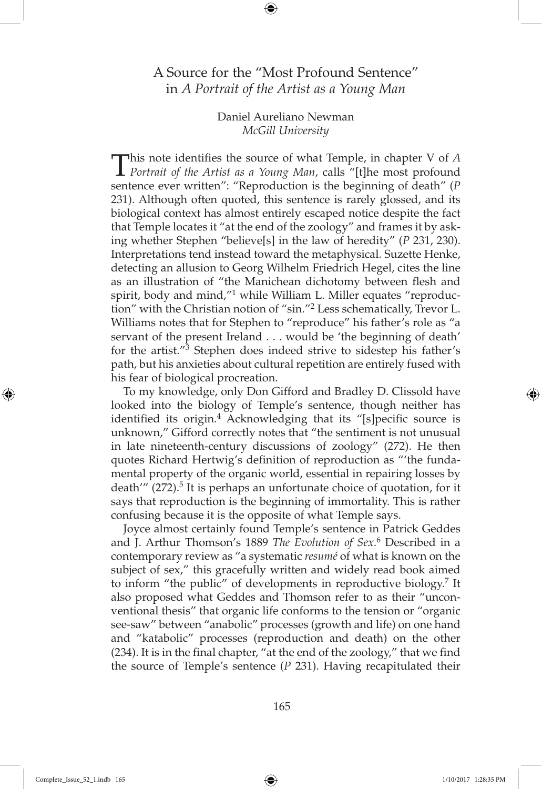## A Source for the "Most Profound Sentence" in *A Portrait of the Artist as a Young Man*

Daniel Aureliano Newman *McGill University*

This note identifies the source of what Temple, in chapter V of *A Portrait of the Artist as a Young Man*, calls "[t]he most profound sentence ever written": "Reproduction is the beginning of death" (*P*  231). Although often quoted, this sentence is rarely glossed, and its biological context has almost entirely escaped notice despite the fact that Temple locates it "at the end of the zoology" and frames it by asking whether Stephen "believe[s] in the law of heredity" (*P* 231, 230). Interpretations tend instead toward the metaphysical. Suzette Henke, detecting an allusion to Georg Wilhelm Friedrich Hegel, cites the line as an illustration of "the Manichean dichotomy between flesh and spirit, body and mind,"<sup>1</sup> while William L. Miller equates "reproduction" with the Christian notion of "sin."2 Less schematically, Trevor L. Williams notes that for Stephen to "reproduce" his father's role as "a servant of the present Ireland . . . would be 'the beginning of death' for the artist. $\frac{1}{3}$  Stephen does indeed strive to sidestep his father's path, but his anxieties about cultural repetition are entirely fused with his fear of biological procreation.

To my knowledge, only Don Gifford and Bradley D. Clissold have looked into the biology of Temple's sentence, though neither has identified its origin.<sup>4</sup> Acknowledging that its "[s]pecific source is unknown," Gifford correctly notes that "the sentiment is not unusual in late nineteenth-century discussions of zoology" (272). He then quotes Richard Hertwig's definition of reproduction as "'the fundamental property of the organic world, essential in repairing losses by death'''  $(272)$ <sup>5</sup>. It is perhaps an unfortunate choice of quotation, for it says that reproduction is the beginning of immortality. This is rather confusing because it is the opposite of what Temple says.

Joyce almost certainly found Temple's sentence in Patrick Geddes and J. Arthur Thomson's 1889 *The Evolution of Sex*. 6 Described in a contemporary review as "a systematic *resumé* of what is known on the subject of sex," this gracefully written and widely read book aimed to inform "the public" of developments in reproductive biology.7 It also proposed what Geddes and Thomson refer to as their "unconventional thesis" that organic life conforms to the tension or "organic see-saw" between "anabolic" processes (growth and life) on one hand and "katabolic" processes (reproduction and death) on the other (234). It is in the final chapter, "at the end of the zoology," that we find the source of Temple's sentence (*P* 231). Having recapitulated their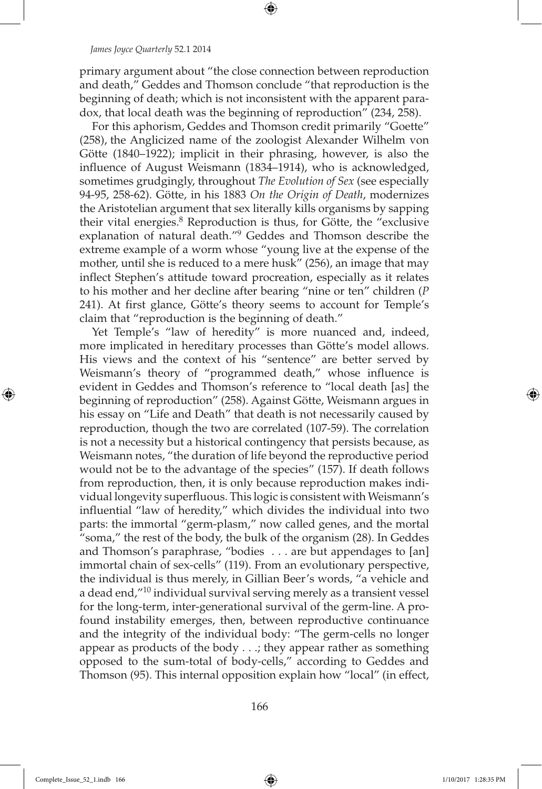## *James Joyce Quarterly* 52.1 2014

primary argument about "the close connection between reproduction and death," Geddes and Thomson conclude "that reproduction is the beginning of death; which is not inconsistent with the apparent paradox, that local death was the beginning of reproduction" (234, 258).

For this aphorism, Geddes and Thomson credit primarily "Goette" (258), the Anglicized name of the zoologist Alexander Wilhelm von Götte (1840–1922); implicit in their phrasing, however, is also the influence of August Weismann (1834–1914), who is acknowledged, sometimes grudgingly, throughout *The Evolution of Sex* (see especially 94-95, 258-62). Götte, in his 1883 *On the Origin of Death*, modernizes the Aristotelian argument that sex literally kills organisms by sapping their vital energies.8 Reproduction is thus, for Götte, the "exclusive explanation of natural death."9 Geddes and Thomson describe the extreme example of a worm whose "young live at the expense of the mother, until she is reduced to a mere husk" (256), an image that may inflect Stephen's attitude toward procreation, especially as it relates to his mother and her decline after bearing "nine or ten" children (*P*  241). At first glance, Götte's theory seems to account for Temple's claim that "reproduction is the beginning of death."

Yet Temple's "law of heredity" is more nuanced and, indeed, more implicated in hereditary processes than Götte's model allows. His views and the context of his "sentence" are better served by Weismann's theory of "programmed death," whose influence is evident in Geddes and Thomson's reference to "local death [as] the beginning of reproduction" (258). Against Götte, Weismann argues in his essay on "Life and Death" that death is not necessarily caused by reproduction, though the two are correlated (107-59). The correlation is not a necessity but a historical contingency that persists because, as Weismann notes, "the duration of life beyond the reproductive period would not be to the advantage of the species" (157). If death follows from reproduction, then, it is only because reproduction makes individual longevity superfluous. This logic is consistent with Weismann's influential "law of heredity," which divides the individual into two parts: the immortal "germ-plasm," now called genes, and the mortal "soma," the rest of the body, the bulk of the organism  $(28)$ . In Geddes and Thomson's paraphrase, "bodies . . . are but appendages to [an] immortal chain of sex-cells" (119). From an evolutionary perspective, the individual is thus merely, in Gillian Beer's words, "a vehicle and a dead end,"10 individual survival serving merely as a transient vessel for the long-term, inter-generational survival of the germ-line. A profound instability emerges, then, between reproductive continuance and the integrity of the individual body: "The germ-cells no longer appear as products of the body . . .; they appear rather as something opposed to the sum-total of body-cells," according to Geddes and Thomson (95). This internal opposition explain how "local" (in effect,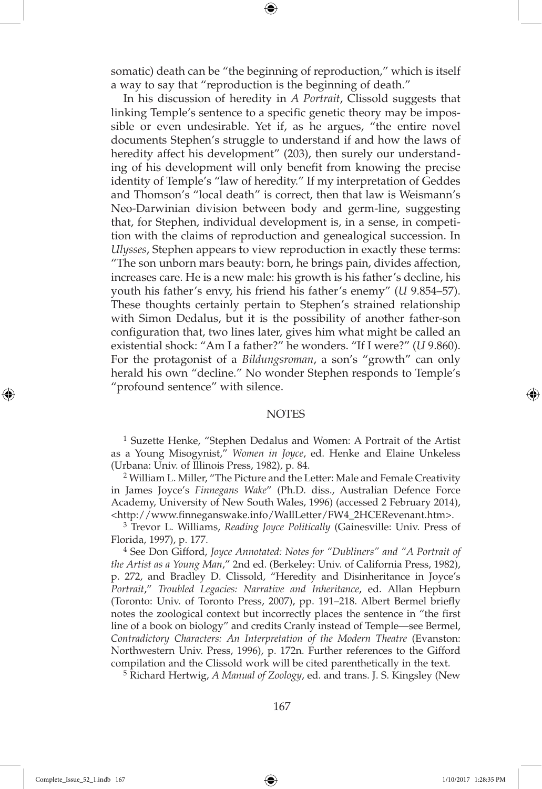somatic) death can be "the beginning of reproduction," which is itself a way to say that "reproduction is the beginning of death."

In his discussion of heredity in *A Portrait*, Clissold suggests that linking Temple's sentence to a specific genetic theory may be impossible or even undesirable. Yet if, as he argues, "the entire novel documents Stephen's struggle to understand if and how the laws of heredity affect his development" (203), then surely our understanding of his development will only benefit from knowing the precise identity of Temple's "law of heredity." If my interpretation of Geddes and Thomson's "local death" is correct, then that law is Weismann's Neo-Darwinian division between body and germ-line, suggesting that, for Stephen, individual development is, in a sense, in competition with the claims of reproduction and genealogical succession. In *Ulysses*, Stephen appears to view reproduction in exactly these terms: "The son unborn mars beauty: born, he brings pain, divides affection, increases care. He is a new male: his growth is his father's decline, his youth his father's envy, his friend his father's enemy" (*U* 9.854–57). These thoughts certainly pertain to Stephen's strained relationship with Simon Dedalus, but it is the possibility of another father-son configuration that, two lines later, gives him what might be called an existential shock: "Am I a father?" he wonders. "If I were?" (*U* 9.860). For the protagonist of a *Bildungsroman*, a son's "growth" can only herald his own "decline." No wonder Stephen responds to Temple's "profound sentence" with silence.

## **NOTES**

1 Suzette Henke, "Stephen Dedalus and Women: A Portrait of the Artist as a Young Misogynist," *Women in Joyce*, ed. Henke and Elaine Unkeless (Urbana: Univ. of Illinois Press, 1982), p. 84.

2 William L. Miller, "The Picture and the Letter: Male and Female Creativity in James Joyce's *Finnegans Wake*" (Ph.D. diss., Australian Defence Force Academy, University of New South Wales, 1996) (accessed 2 February 2014), <http://www.finneganswake.info/WallLetter/FW4\_2HCERevenant.htm>.

3 Trevor L. Williams, *Reading Joyce Politically* (Gainesville: Univ. Press of Florida, 1997), p. 177.

4 See Don Gifford, *Joyce Annotated: Notes for "Dubliners" and "A Portrait of the Artist as a Young Man*," 2nd ed. (Berkeley: Univ. of California Press, 1982), p. 272, and Bradley D. Clissold, "Heredity and Disinheritance in Joyce's *Portrait*," *Troubled Legacies: Narrative and Inheritance*, ed. Allan Hepburn (Toronto: Univ. of Toronto Press, 2007), pp. 191–218. Albert Bermel briefly notes the zoological context but incorrectly places the sentence in "the first line of a book on biology" and credits Cranly instead of Temple—see Bermel, *Contradictory Characters: An Interpretation of the Modern Theatre* (Evanston: Northwestern Univ. Press, 1996), p. 172n. Further references to the Gifford compilation and the Clissold work will be cited parenthetically in the text.

5 Richard Hertwig, *A Manual of Zoology*, ed. and trans. J. S. Kingsley (New